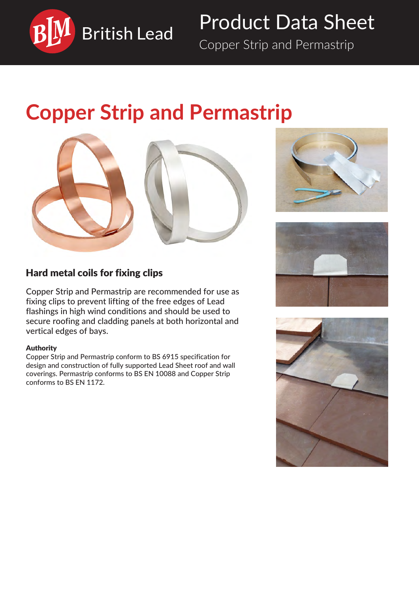

# Product Data Sheet

Copper Strip and Permastrip

# **Copper Strip and Permastrip**







# Hard metal coils for fixing clips

Copper Strip and Permastrip are recommended for use as fixing clips to prevent lifting of the free edges of Lead flashings in high wind conditions and should be used to secure roofing and cladding panels at both horizontal and vertical edges of bays.

## Authority

Copper Strip and Permastrip conform to BS 6915 specification for design and construction of fully supported Lead Sheet roof and wall coverings. Permastrip conforms to BS EN 10088 and Copper Strip conforms to BS EN 1172.